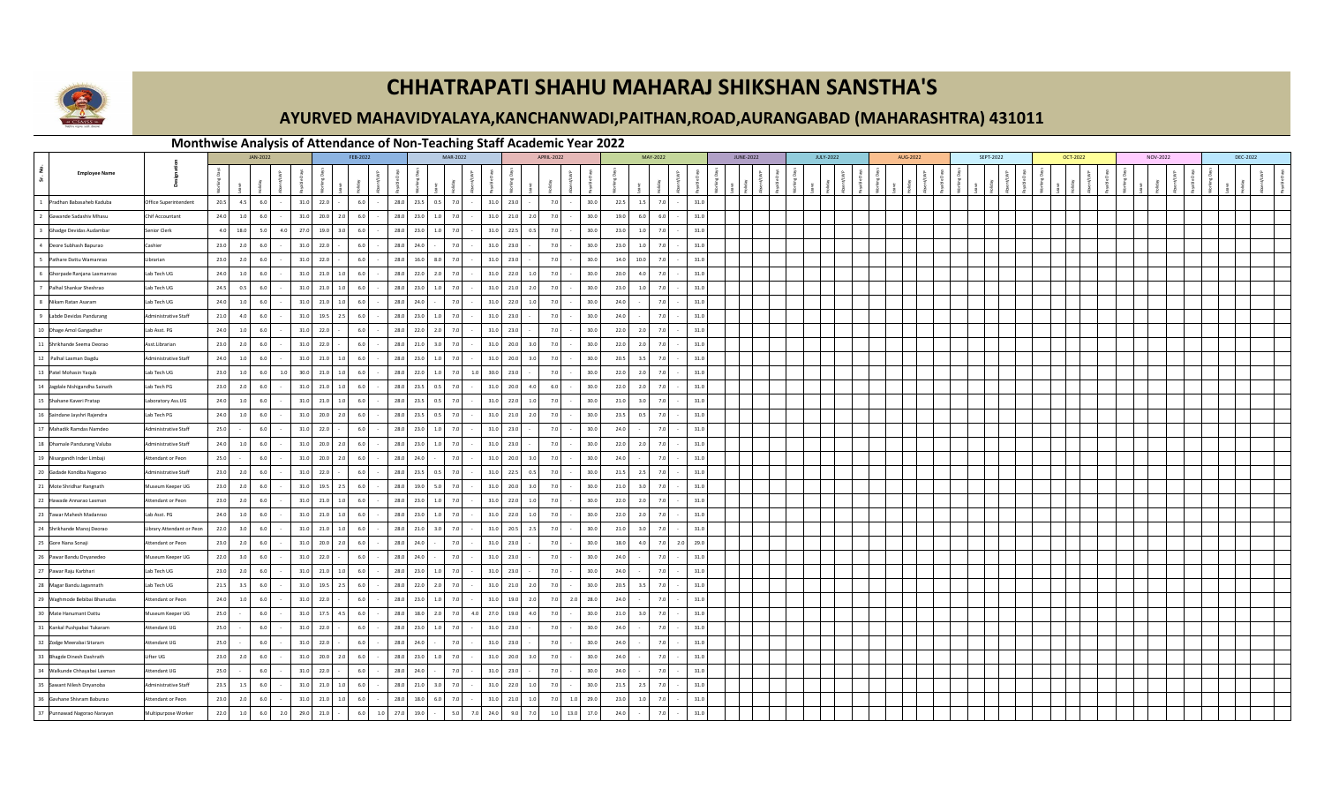

## **CHHATRAPATI SHAHU MAHARAJ SHIKSHAN SANSTHA'S**

## **AYURVED MAHAVIDYALAYA,KANCHANWADI,PAITHAN,ROAD,AURANGABAD (MAHARASHTRA) 431011**

## **Monthwise Analysis of Attendance of Non-Teaching Staff Academic Year 2022**

|                         |                                |                           |      | JAN-2022 |            |      | FEB-2022            |         |         |          | MAR-2022  |                   | <b>APRIL-2022</b> |            |       |        | MAY-2022 |      |             | <b>JUNE-2022</b> |  | <b>JULY-2022</b> |  | AUG-2022 |  |  | SEPT-2022 | <b>OCT-2022</b> |  |  |  | NOV-2022 |  | DEC-2022 |  |
|-------------------------|--------------------------------|---------------------------|------|----------|------------|------|---------------------|---------|---------|----------|-----------|-------------------|-------------------|------------|-------|--------|----------|------|-------------|------------------|--|------------------|--|----------|--|--|-----------|-----------------|--|--|--|----------|--|----------|--|
| । ਅੱ                    | <b>Employee Name</b>           |                           |      |          |            |      |                     |         |         |          |           |                   |                   |            |       |        |          |      |             |                  |  |                  |  |          |  |  |           |                 |  |  |  |          |  |          |  |
|                         | 1 Pradhan Babasaheb Kaduba     | Office Superintendent     | 20.5 | 4.5      | 6.0        |      | 31.0 22.0           |         | 6.0     |          |           | 28.0 23.5 0.5 7.0 | 31.0 23.0         |            | 7.0   | $\sim$ | 30.0     | 22.5 | 7.0<br>1.5  | $31.0\,$         |  |                  |  |          |  |  |           |                 |  |  |  |          |  |          |  |
|                         | 2 Gawande Sadashiv Mhasu       | Chif Accountant           | 24.0 | 1.0      | 6.0        |      | 31.0 20.0 2.0       |         | 6.0     |          | 28.0 23.0 | 1.0 7.0           | 31.0 21.0         | 2.0        | 7.0   |        | 30.0     | 19.0 | 6.0<br>6.0  | 31.0             |  |                  |  |          |  |  |           |                 |  |  |  |          |  |          |  |
| $\overline{\mathbf{3}}$ | Ghadge Devidas Audamba         | Senior Clerk              | 4.0  | 18.0     | 5.0<br>4.0 | 27.0 | 19.0                | 3.0     | 6.0     | 28.0     | 23.0      | 1.0<br>7.0        | 22.5<br>31.0      | 0.5        | 7.0   |        | 30.0     | 23.0 | 1.0<br>7.0  | 31.0             |  |                  |  |          |  |  |           |                 |  |  |  |          |  |          |  |
|                         | 4 Deore Subhash Bapurao        | Cashier                   | 23.0 | 2.0      | 6.0        | 31.0 | 22.0                |         | 6.0     | 28.0     | 24.0      | 7.0               | 31.0 23.0         |            | 7.0   |        | 30.0     | 23.0 | 1.0<br>7.0  | 31.0             |  |                  |  |          |  |  |           |                 |  |  |  |          |  |          |  |
|                         | 5 Pathare Dattu Wamanrao       | Librarian                 | 23.0 | 2.0      | 6.0        |      | 31.0 22.0           |         | 6.0     | 28.0     | 16.0      | 8.0<br>7.0        | 31.0 23.0         |            | 7.0   |        | 30.0     | 14.0 | 10.0<br>7.0 | 31.0             |  |                  |  |          |  |  |           |                 |  |  |  |          |  |          |  |
|                         | 6 Ghorpade Ranjana Laxmanrao   | Lab Tech UG               | 24.0 | 1.0      | 6.0        |      | 31.0 21.0 1.0       |         | 6.0     |          | 28.0 22.0 | $2.0$ 7.0         | 31.0 22.0         | 1.0        | 7.0   |        | 30.0     | 20.0 | 4.0<br>7.0  | 31.0             |  |                  |  |          |  |  |           |                 |  |  |  |          |  |          |  |
|                         | 7 Palhal Shankar Sheshrao      | Lab Tech UG               | 24.5 | 0.5      | 6.0        |      | 31.0 21.0           | 1.0     | 6.0     | 28.0     | 23.0      | 7.0<br>1.0        | $31.0$ 21.0       | 2.0        | 7.0   |        | 30.0     | 23.0 | 7.0<br>1.0  | 31.0             |  |                  |  |          |  |  |           |                 |  |  |  |          |  |          |  |
|                         | 8 Nikam Ratan Asaram           | Lab Tech UG               | 24.0 | 1.0      | 6.0        |      | $31.0$ 21.0 1.0     |         | 6.0     |          | 28.0 24.0 | 7.0               | 31.0 22.0         | 1.0        | 7.0   |        | 30.0     | 24.0 | 7.0         | 31.0             |  |                  |  |          |  |  |           |                 |  |  |  |          |  |          |  |
|                         | 9 Labde Devidas Pandurang      | Administrative Staff      | 21.0 | 4.0      | 6.0        |      | 31.0 19.5 2.5       |         | 6.0     |          | 28.0 23.0 | $1.0$ 7.0         | 31.0 23.0         |            | 7.0   |        | 30.0     | 24.0 | 7.0         | 31.0             |  |                  |  |          |  |  |           |                 |  |  |  |          |  |          |  |
|                         | 10 Dhage Amol Gangadhar        | Lab Asst. PG              | 24.0 | 1.0      | 6.0        | 31.0 | 22.0                |         | 6.0     |          | 28.0 22.0 | 2.0<br>7.0        | 23.0<br>31.0      |            | 7.0   |        | 30.0     | 22.0 | 2.0<br>7.0  | 31.0             |  |                  |  |          |  |  |           |                 |  |  |  |          |  |          |  |
|                         | 11 Shrikhande Seema Deorao     | Asst.Librarian            | 23.0 | 2.0      | 6.0        | 31.0 | 22.0                |         | 6.0     | 28.0     | 21.0      | $3.0$ 7.0         | 31.0<br>20.0      | 3.0        | 7.0   |        | 30.0     | 22.0 | 2.0<br>7.0  | 31.0             |  |                  |  |          |  |  |           |                 |  |  |  |          |  |          |  |
|                         | 12 Palhal Laxman Dagdu         | Administrative Staff      | 24.0 | 1.0      | 6.0        |      | 31.0 21.0           | 1.0     | 6.0     |          | 28.0 23.0 | $1.0$ 7.0         | 31.0 20.0         | 3.0        | 7.0   |        | 30.0     | 20.5 | 3.5<br>7.0  | 31.0             |  |                  |  |          |  |  |           |                 |  |  |  |          |  |          |  |
|                         | 13 Patel Mohasin Yaqub         | Lab Tech UG               | 23.0 | $1.0\,$  | 6.0<br>1.0 |      | 30.0 21.0 1.0       |         | 6.0     |          | 28.0 22.0 | $1.0$ 7.0<br>1.0  | 30.0 23.0         |            | 7.0   |        | 30.0     | 22.0 | 2.0<br>7.0  | 31.0             |  |                  |  |          |  |  |           |                 |  |  |  |          |  |          |  |
|                         | 14 Jagdale Nishigandha Sainath | Lab Tech PG               | 23.0 | 2.0      | 6.0        | 31.0 | 21.0                | $1.0\,$ | 6.0     | 28.0     | 23.5      | 0.5<br>7.0        | 31.0<br>20.0      | 4.0        | 6.0   |        | 30.0     | 22.0 | 2.0<br>7.0  | 31.0             |  |                  |  |          |  |  |           |                 |  |  |  |          |  |          |  |
|                         | 15 Shahane Kaveri Pratap       | Laboratory Ass.UG         | 24.0 | $1.0\,$  | 6.0        |      | $31.0$ 21.0 1.0     |         | 6.0     |          | 28.0 23.5 | 7.0<br>0.5        | 31.0 22.0         | 1.0        | 7.0   |        | 30.0     | 21.0 | 7.0<br>3.0  | 31.0             |  |                  |  |          |  |  |           |                 |  |  |  |          |  |          |  |
|                         | 16 Saindane Jayshri Rajendra   | Lab Tech PG               | 24.0 | 1.0      | 6.0        |      | 31.0 20.0 2.0       |         | 6.0     |          |           | 28.0 23.5 0.5 7.0 | 31.0 21.0         | 2.0        | 7.0   |        | 30.0     | 23.5 | 0.5<br>7.0  | 31.0             |  |                  |  |          |  |  |           |                 |  |  |  |          |  |          |  |
|                         | 17 Mahadik Ramdas Namdeo       | Administrative Staff      | 25.0 |          | 6.0        |      | 31.0 22.0           |         | 6.0     |          |           | 28.0 23.0 1.0 7.0 | 31.0 23.0         |            | 7.0   |        | 30.0     | 24.0 | 7.0         | 31.0             |  |                  |  |          |  |  |           |                 |  |  |  |          |  |          |  |
|                         | 18 Dhamale Pandurang Valuba    | Administrative Staff      | 24.0 | 1.0      | 6.0        | 31.0 | 20.0                | 2.0     | 6.0     | 28.0     | 23.0      | 1.0<br>7.0        | 31.0<br>23.0      |            | 7.0   |        | 30.0     | 22.0 | 2.0<br>7.0  | 31.0             |  |                  |  |          |  |  |           |                 |  |  |  |          |  |          |  |
|                         | 19 Nisargandh Inder Limbaji    | Attendant or Peon         | 25.0 |          | 6.0        |      | 31.0 20.0           | 2.0     | 6.0     | 28.0     | 24.0      | 7.0               | 31.0 20.0         | 3.0        | 7.0   |        | 30.0     | 24.0 | 7.0         | 31.0             |  |                  |  |          |  |  |           |                 |  |  |  |          |  |          |  |
|                         | 20 Gadade Kondiba Nagorao      | Administrative Staff      | 23.0 | 2.0      | 6.0        |      | 31.0 22.0           |         | 6.0     |          | 28.0 23.5 | 7.0<br>0.5        | 31.0 22.5         | 0.5        | 7.0   |        | 30.0     | 21.5 | 2.5<br>7.0  | 31.0             |  |                  |  |          |  |  |           |                 |  |  |  |          |  |          |  |
|                         | 21 Mote Shridhar Rangnath      | Museum Keeper UG          | 23.0 | 2.0      | 6.0        |      | 31.0 19.5 2.5       |         | 6.0     | 28.0     | 19.0      | 7.0<br>5.0        | 31.0 20.0         | 3.0        | 7.0   |        | 30.0     | 21.0 | 7.0<br>3.0  | 31.0             |  |                  |  |          |  |  |           |                 |  |  |  |          |  |          |  |
|                         | 22 Hawade Annarao Laxman       | Attendant or Peon         | 23.0 | 2.0      | 6.0        |      | 31.0 21.0           | 1.0     | 6.0     | 28.0     | 23.0      | 7.0<br>1.0        | $31.0$ 22.0       | 1.0        | 7.0   |        | 30.0     | 22.0 | 7.0<br>2.0  | 31.0             |  |                  |  |          |  |  |           |                 |  |  |  |          |  |          |  |
|                         | 23 Tawar Mahesh Madanrao       | Lab Asst. PG              | 24.0 | $1.0\,$  | 6.0        |      | 31.0 21.0 1.0       |         | 6.0     | 28.0     | 23.0      | 1.0<br>7.0        | 31.0 22.0         | 1.0        | 7.0   |        | 30.0     | 22.0 | 2.0<br>7.0  | 31.0             |  |                  |  |          |  |  |           |                 |  |  |  |          |  |          |  |
|                         | 24 Shrikhande Manoj Deorao     | Library Attendant or Peon | 22.0 | 3.0      | 6.0        |      | $31.0$ $21.0$ $1.0$ |         | 6.0     |          |           | 28.0 21.0 3.0 7.0 | 31.0 20.5         | 2.5        | 7.0   |        | 30.0     | 21.0 | 7.0<br>3.0  | 31.0             |  |                  |  |          |  |  |           |                 |  |  |  |          |  |          |  |
|                         | 25 Gore Nana Sonaji            | Attendant or Peon         | 23.0 | 2.0      | 6.0        | 31.0 | 20.0                | 2.0     | 6.0     | 28.0     | 24.0      | 7.0               | 31.0<br>23.0      |            | 7.0   |        | 30.0     | 18.0 | 7.0<br>4.0  | 29.0<br>2.0      |  |                  |  |          |  |  |           |                 |  |  |  |          |  |          |  |
|                         | 26 Pawar Bandu Dnyanedeo       | Museum Keeper UG          | 22.0 | 3.0      | 6.0        | 31.0 | 22.0                |         | 6.0     | 28.0     | 24.0      | 7.0               | 31.0 23.0         |            | 7.0   |        | 30.0     | 24.0 | 7.0         | 31.0             |  |                  |  |          |  |  |           |                 |  |  |  |          |  |          |  |
|                         | 27 Pawar Raju Karbhari         | Lab Tech UG               | 23.0 | 2.0      | 6.0        |      | 31.0 21.0 1.0       |         | 6.0     |          | 28.0 23.0 | 1.0<br>7.0        | 31.0 23.0         |            | 7.0   |        | 30.0     | 24.0 | 7.0         | 31.0             |  |                  |  |          |  |  |           |                 |  |  |  |          |  |          |  |
|                         | 28 Magar Bandu Jagannath       | Lab Tech LIG              | 21.5 | 3.5      | 6.0        |      | 31.0 19.5 2.5       |         | 6.0     |          | 28.0 22.0 | $2.0$ 7.0         | 31.0 21.0         | 2.0        | 7.0   |        | 30.0     | 20.5 | 7.0<br>3.5  | 31.0             |  |                  |  |          |  |  |           |                 |  |  |  |          |  |          |  |
|                         | 29 Waghmode Bebibai Bhanudas   | Attendant or Peon         | 24.0 | $1.0$    | 6.0        | 31.0 | 22.0                |         | 6.0     | 28.0     | 23.0      | 1.0<br>7.0        | 31.0<br>19.0      | 2.0        | 7.0   | 2.0    | 28.0     | 24.0 | 7.0         | 31.0             |  |                  |  |          |  |  |           |                 |  |  |  |          |  |          |  |
|                         | 30 Mate Hanumant Dattu         | Museum Keeper UG          | 25.0 |          | 6.0        |      | 31.0 17.5 4.5       |         | 6.0     |          | 28.0 18.0 | $2.0$ 7.0<br>4.0  | 27.0 19.0         | 4.0        | 7.0   |        | 30.0     | 21.0 | 7.0<br>3.0  | 31.0             |  |                  |  |          |  |  |           |                 |  |  |  |          |  |          |  |
|                         | 31 Kankal Pushpabai Tukaram    | Attendant UG              | 25.0 |          | 6.0        |      | 31.0 22.0           |         | 6.0     |          | 28.0 23.0 | 7.0<br>1.0        | 31.0 23.0         |            | 7.0   |        | 30.0     | 24.0 | 7.0         | 31.0             |  |                  |  |          |  |  |           |                 |  |  |  |          |  |          |  |
|                         | 32 Zodge Meerabai Sitaram      | Attendant UG              | 25.0 |          | 6.0        |      | 31.0 22.0           |         | 6.0     |          | 28.0 24.0 | 7.0               | 31.0<br>23.0      |            | 7.0   |        | 30.0     | 24.0 | 7.0         | 31.0             |  |                  |  |          |  |  |           |                 |  |  |  |          |  |          |  |
|                         | 33 Bhagde Dinesh Dashrath      | Lifter UG                 | 23.0 | 2.0      | 6.0        | 31.0 | 20.0                | 2.0     | 6.0     | 28.0     | 23.0      | 7.0<br>1.0        | 20.0<br>31.0      | 3.0        | 7.0   |        | 30.0     | 24.0 | 7.0         | 31.0             |  |                  |  |          |  |  |           |                 |  |  |  |          |  |          |  |
|                         | 34 Walkunde Chhayabai Laxman   | Attendant UG              | 25.0 |          | 6.0        | 31.0 | 22.0                |         | 6.0     | 28.0     | 24.0      | 7.0               | 31.0<br>23.0      |            | 7.0   |        | 30.0     | 24.0 | 7.0         | 31.0             |  |                  |  |          |  |  |           |                 |  |  |  |          |  |          |  |
|                         | 35 Sawant Nilesh Dnyanoba      | Administrative Staff      | 23.5 | 1.5      | 6.0        |      | 31.0 21.0 1.0       |         | 6.0     |          | 28.0 21.0 | 7.0<br>3.0        | 31.0 22.0         | 1.0        | 7.0   |        | 30.0     | 21.5 | 7.0<br>2.5  | 31.0             |  |                  |  |          |  |  |           |                 |  |  |  |          |  |          |  |
|                         | 36 Gavhane Shivram Baburao     | Attendant or Peon         | 23.0 | 2.0      | 6.0        | 31.0 | 21.0                | $1.0\,$ | 6.0     | 28.0     | 18.0      | 7.0<br>6.0        | 31.0<br>21.0      | 1.0        | 7.0   | 1.0    | 29.0     | 23.0 | 7.0<br>1.0  | 31.0             |  |                  |  |          |  |  |           |                 |  |  |  |          |  |          |  |
|                         | 37 Punnawad Nagorao Narayan    | Multipurpose Worker       | 22.0 | $1.0\,$  | 6.0<br>2.0 | 29.0 | 21.0                |         | $6.0\,$ | 1.0 27.0 | 19.0      | 5.0<br>7.0        | 24.0              | 9.0<br>7.0 | $1.0$ | 13.0   | 17.0     | 24.0 | 7.0         | $31.0\,$         |  |                  |  |          |  |  |           |                 |  |  |  |          |  |          |  |